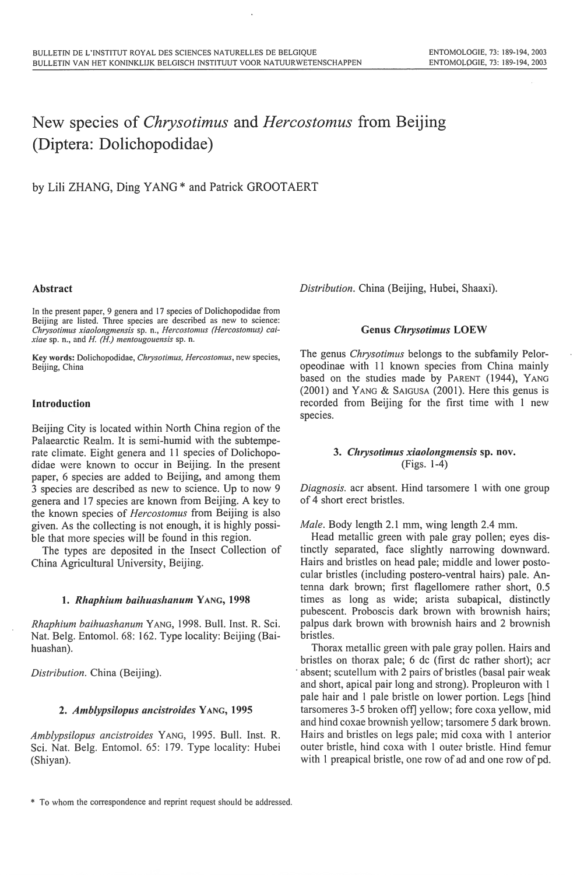# New species of *Chrysotimus* and *Hercostomus* from Beijing (Diptera: Dolichopodidae)

by Lili ZHANG, Ding YANG \* and Patrick GROOTAERT

## Abstract

In the present paper, 9 genera <sup>a</sup>nd 17 species of Dolichopodidae from Beijing are listed. Three species are described as new to science: *Chrysotimus xiaolongmensis* sp. n., *Hercostomus (Hercostomus) caixiae* sp. n., and H. *(H.) men/ougouensis* sp. n.

Key words: Dolichopodidae, *C/uysotimus. Hercostomus,* new species, Beijing, China

## Introduction

Beijing City is located within North China region of the Palaearctic Realm. It is semi-humid with the subtemperate climate. Eight genera and 11 species of Dolichopodidae were known to occur in Beijing. In the present paper, 6 species are added to Beijing, <sup>a</sup>nd among them 3 species are described as new to science. Up to now 9 genera and 17 species are known from Beijing. A key to the known species of *Hercostomus* from Beijing is also given. As the collecting is not enough, it is highly possible that more species will be found in this region.

The types are deposited in the Insect Collection of China Agricultural University, Beijing.

## 1. *Rlwphium baihuashanum* YANG, 1998

*Rhaphium baihuashanum* YANG, 1998. Bull. Inst. R. Sci. Nat. Belg. Entomol. 68: 162. Type locality: Beijing (Baihuashan).

*Distribution.* China (Beijing).

## 2. *Amblypsilopus ancistroides* YANG, 1995

*Amblypsilopus ancistroides* YANG, 1995. Bull. Inst. R. Sci. Nat. Belg. Entomol. 65: 179. Type locality: Hubei (Shiyan).

*Distribution.* China (Beijing, Hubei, Shaaxi).

## Genus *Chrysotimus* LOEW

The genus *Chrysotimus* belongs to the subfamily Peloropeodinae with II known species from China mainly based on the studies made by PARENT (1944), YANG  $(2001)$  and YANG & SAIGUSA  $(2001)$ . Here this genus is recorded from Beijing for the first time with I new species.

# 3. *Cluysotimus xiaolongmensis* sp. nov. (Figs. 1-4)

*Diagnosis.* acr absent. Hind tarsomere 1 with one group of 4 short erect bristles.

*Male.* Body length 2.1 mm, wing length 2.4 mm.

Head metallic green with pale gray pollen; eyes distinctly separated, face slightly narrowing downward. Hairs and bristles on head pale; middle and lower postocular bristles (including postero-ventral hairs) pale. Antenna dark brown; first flagellomere rather short, 0.5 times as long as wide; arista subapical, distinctly pubescent. Proboscis dark brown with brownish hairs; palpus dark brown with brownish hairs and 2 brownish bristles.

Thorax metallic green with pale gray pollen. Hairs and bristles on thorax pale; 6 de (first de rather short); acr absent; scutellum with 2 pairs of bristles (basal pair weak and short, apical pair long and strong). Propleuron with 1 pale hair and 1 pale bristle on lower portion. Legs [hind] tarsomeres 3-5 broken off] yellow; fore coxa yellow, mid <sup>a</sup>nd hind coxae brownish yellow; tarsomere 5 dark brown. Hairs and bristles on legs pale; mid coxa with I anterior outer bristle, hind coxa with 1 outer bristle. Hind femur with I preapical bristle, one row of ad and one row of pd.

<sup>\*</sup> To whom the correspondence and reprint request should be addressed.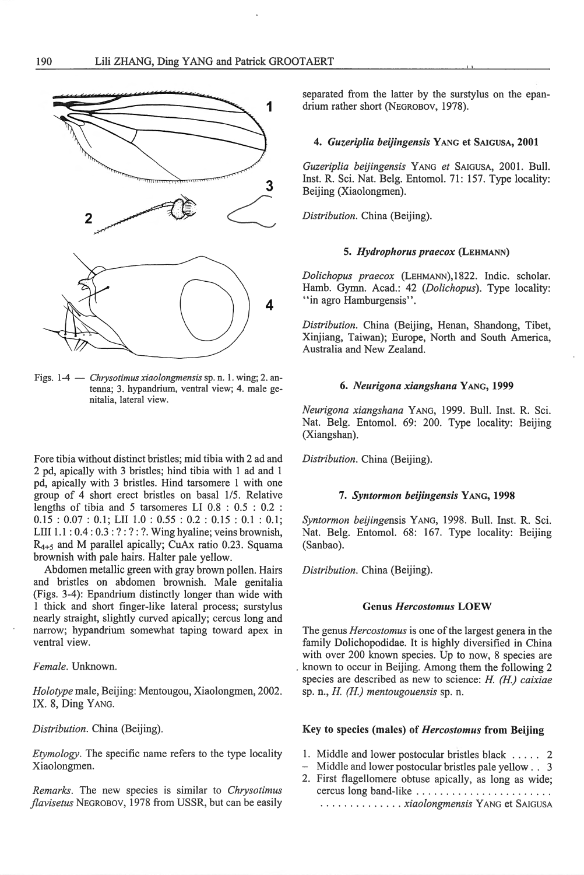

Figs. 1-4 - *Chrysotimus xiaolongmensis* sp. n. 1. wing; 2. antenna; 3. hypandrium, ventral view; 4. male genitalia, lateral view.

Fore tibia without distinct bristles; mid tibia with 2 ad and 2 pd, apically with 3 bristles; hind tibia with 1 ad and 1 pd, apically with 3 bristles. Hind tarsomere 1 with one group of 4 shoti erect bristles on basal 1/5. Relative lengths of tibia and 5 tarsomeres LI 0.8 : 0.5 : 0.2 :  $0.15: 0.07: 0.1;$  LII  $1.0: 0.55: 0.2: 0.15: 0.1: 0.1;$ LIII 1.1 : 0.4 : 0.3 : ? : ? : ?. Wing hyaline; veins brownish,  $R_{4+5}$  and M parallel apically; CuAx ratio 0.23. Squama brownish with pale hairs. Halter pale yellow.

Abdomen metallic green with gray brown pollen. Hairs and bristles on abdomen brownish. Male genitalia (Figs. 3-4): Epandrium distinctly longer than wide with 1 thick and short finger-like lateral process; surstylus nearly straight, slightly curved apically; cercus long and narrow; hypandrium somewhat taping toward apex in ventral view.

*Female.* Unknown.

*Holotype* male, Beijing: Mentougou, Xiaolongmen, 2002. IX. 8, Ding YANG.

*Distribution.* China (Beijing).

*Etymology.* The specific name refers to the type locality Xiaolongmen.

*Remarks.* The new species is similar to *Chrysotimus jlavisetus* NEGROBOV, 1978 from USSR, but can be easily

separated from the latter by the surstylus on the epan-1 drium rather short (NEGROBOV, 1978).

## 4. *Guzeriplia beijingensis* YANG et SAIGUSA, 2001

*Guzeriplia beijingensis* YANG *et* SAIGUSA, 2001. Bull. Inst. R. Sci. Nat. Belg. Entomol. 71: 157. Type locality: Beijing (Xiaolongmen).

*Distribution.* China (Beijing).

## 5. *Hydrophorus praecox* (LEHMAA'N)

*Dolichopus praecox* (LEHMANN), 1822. lndic. scholar. Hamb. Gymn. Acad.: 42 *(Dolichopus).* Type locality: "in agro Hamburgensis".

*Distribution.* China (Beijing, Henan, Shandong, Tibet, Xinjiang, Taiwan); Europe, North and South America, Australia and New Zealand.

#### 6. *Neurigona xiangshana* YANG, 1999

*Neurigona xiangshana* YANG, 1999. Bull. Inst. R. Sci. Nat. Belg. Entomol. 69: 200. Type locality: Beijing (Xiangshan).

*Distribution.* China (Beijing).

#### 7. *Syntormon beijingensis* YANG, 1998

*Syntormon beijingensis* YANG, 1998. Bull. Inst. R. Sci. Nat. Belg. Entomol. 68: 167. Type locality: Beijing (Sanbao).

*Distribution.* China (Beijing).

#### Genus *Hercostomus* LOEW

The genus *Hercostomus* is one of the largest genera in the family Dolichopodidae. It is highly diversified in China with over 200 known species. Up to now, 8 species are . known to occur in Beijing. Among them the following 2 species are described as new to science: *H. (H.) caixiae*  sp. n. , *H. (H.) mentougouensis* sp. n.

# Key to species (males) of *Hercostomus* from Beijing

- 1. Middle and lower postocular bristles black . . . . . 2
- Middle and lower postocular bristles pale yellow . . 3
- 2. First flagellomere obtuse apically, as long as wide; cercus long band-like ........................ ...... ... ..... *xiaolongmensis* YANG et SAIGUSA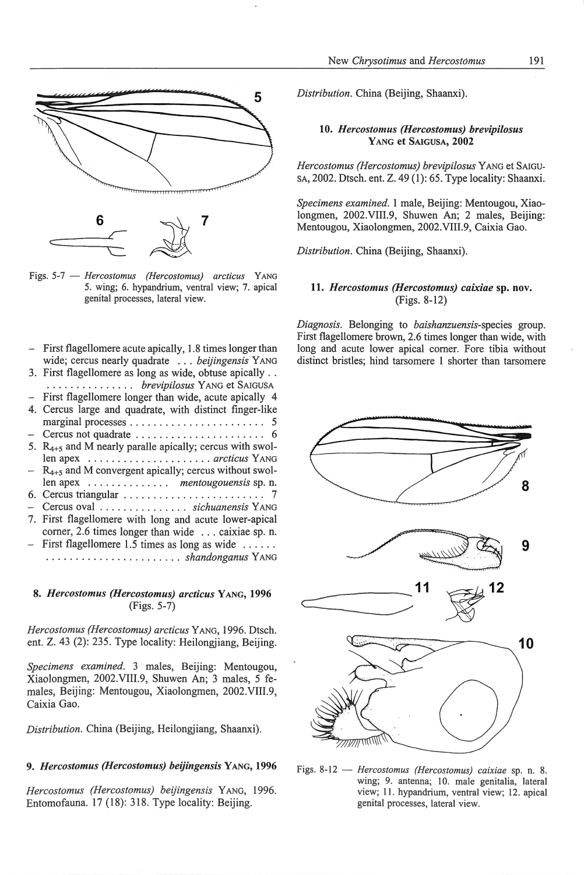

Figs. 5-7 - *Hercostomus (Hercostomus) arcticus* YANG 5. wing; 6. hypandrium, ventral view; 7. apical genital processes, lateral view.

| - First flagellomere acute apically, 1.8 times longer than<br>wide; cercus nearly quadrate beijingensis YANG |
|--------------------------------------------------------------------------------------------------------------|
| 3. First flagellomere as long as wide, obtuse apically                                                       |
| brevipilosus YANG et SAIGUSA                                                                                 |
| - First flagellomere longer than wide, acute apically 4                                                      |
| 4. Cercus large and quadrate, with distinct finger-like                                                      |
|                                                                                                              |
|                                                                                                              |
| 5. $R_{4+5}$ and M nearly paralle apically; cercus with swol-                                                |
|                                                                                                              |
| $-$ R <sub>4+5</sub> and M convergent apically; cercus without swol-                                         |
| len apex mentougouensis sp. n.                                                                               |
|                                                                                                              |
| - Cercus oval  sichuanensis YANG                                                                             |
| 7. First flagellomere with long and acute lower-apical                                                       |
| corner, 2.6 times longer than wide  caixiae sp. n.                                                           |
| $-$ First flagellomere 1.5 times as long as wide                                                             |
|                                                                                                              |
|                                                                                                              |

# 8. *Hercostomus (Hercostomus) arcticus* YANG, **1996**  (Figs. 5-7)

*Hercostomus (Hercostomus) arcticus* YANG, 1996. Dtsch. ent. Z. 43 (2): 235. Type locality: Heilongjiang, Beijing.

*Specimens examined.* 3 males, Beijing: Mentougou, Xiaolongmen, 2002.VIII.9, Shuwen An; 3 males, 5 females, Beijing: Mentougou, Xiaolongmen, 2002.VIII.9, Caixia Gao.

*Distribution.* China (Beijing, Heilongjiang, Shaanxi).

## 9. *Hercostomus (Hercostomus) beijingensis* YANG, **1996**

*Hercostomus (Hercostomus) beijingensis* YANG, 1996. Entomofauna. 17 (18): 318. Type locality: Beijing.

*Distribution.* China (Beijing, Shaanxi).

## **10.** *Hercostomus (Hercostomus) brevipilosus*  YANG et SAIGUSA, **2002**

*Hercostomus (Hercostomus) brevipilosus* YANG et SAIGU-SA, 2002. Dtsch. ent. Z. 49 (1): 65. Type locality: Shaanxi.

*Specimens examined.* 1 male, Beijing: Mentougou, Xiaolongmen, 2002.VIII.9, Shuwen An; 2 males, Beijing: Mentougou, Xiaolongmen, 2002.VIII.9, Caixia Gao.

*Distribution.* China (Beijing, Shaanxi).

## **11.** *Hercostomus (Hercostomus) caixiae* sp. **nov.**  (Figs. 8-12)

*Diagnosis.* Belonging to *baishanzuensis-species* group. First flagellomere brown, 2.6 times longer than wide, with long and acute lower apical comer. Fore tibia without distinct bristles; hind tarsomere 1 shorter than tarsomere



Figs. 8-12 - *Hercostomus (Hercostomus) caixiae* sp. n. 8. wing; 9. antenna; 10. male genitalia, lateral view; 11. hypandrium, ventral view; 12. apical genital processes, lateral view.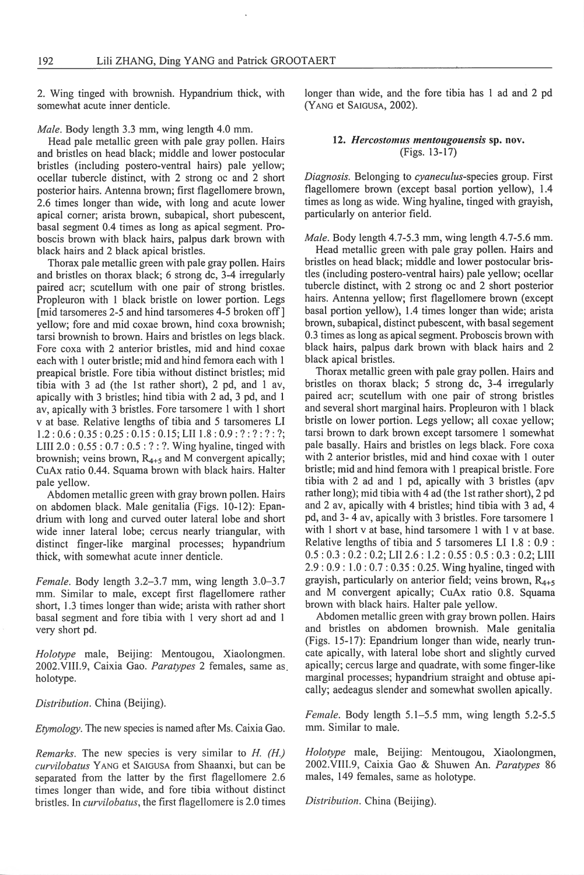2. Wing tinged with brownish. Hypandrium thick, with somewhat acute inner denticle.

*Male.* Body length 3.3 mm, <sup>w</sup>ing length 4.0 mm.

Head pale metallic green with pale gray pollen. Hairs and bristles on head black; middle and lower postocular bristles (including postero-ventral hairs) pale yellow; ocellar tubercle distinct, with 2 strong oc and 2 short posterior hairs. Antenna brown; first flagellomere brown, 2.6 times longer than wide, with long and acute lower apical corner; arista brown, subapical, short pubescent, basal segment 0.4 times as long as apical segment. Proboscis brown with black hairs, palpus dark brown with black hairs and 2 black apical bristles.

Thorax pale metallic green with pale gray pollen. Hairs <sup>a</sup>nd bristles on thorax black; 6 strong de, 3-4 irregularly paired acr; scutellum with one pair of strong bristles. Propleuron with I black bristle on lower portion. Legs [mid tarsomeres 2-5 and hind tarsomeres 4-5 broken off] yellow; fore and mid coxae brown, hind coxa brownish; tarsi brownish to brown. Hairs and bristles on legs black. Fore coxa with 2 anterior bristles, mid and hind coxae each with I outer bristle; mid and hind femora each with I preapical bristle. Fore tibia without distinct bristles; mid tibia with 3 ad (the 1st rather short), 2 pd, and 1 av, apically with 3 bristles; hind tibia with 2 ad, 3 pd, and I av, apically with 3 bristles. Fore tarsomere **1** with 1 short v at base. Relative lengths of tibia and 5 tarsomeres LI  $1.2: 0.6: 0.35: 0.25: 0.15: 0.15;$  LII  $1.8: 0.9: ?: ?: ?: ?;$ LIII  $2.0:0.55:0.7:0.5:?$ : ?. Wing hyaline, tinged with brownish; veins brown,  $R_{4+5}$  and M convergent apically; CuAx ratio 0.44. Squama brown with black hairs. Halter pale yellow.

Abdomen metallic green with gray brown pollen. Hair<sup>s</sup> on abdomen black. Male genitalia (Figs. 10-12): Epandrium with long and curved outer lateral lobe and short <sup>w</sup>ide inner lateral lobe; cercus nearly triangular, with distinct finger-like marginal processes; hypandrium thick, with somewhat acute inner denticle.

*Female.* Body length 3.2–3.7 mm, wing length 3.0–3.7 mm. Similar to male, except first flagellomere rather short, 1.3 times longer than wide; arista with rather short basal segment and fore tibia with l very short ad and I very short pd.

*Holotype* male, Beijing: Mentougou, Xiaolongmen. 2002.VIII.9, Caixia Gao. *Paratypes* 2 females, same as. holotype.

*Distribution.* China (Beijing).

*Etymology.* The new species is named after Ms. Caixia Gao.

*Remarks.* The new species is very similar to *H. (H.)*  curvilobatus YANG et SAIGUSA from Shaanxi, but can be separated from the latter by the first flagellomere 2.6 times longer than wide, and fore tibia without distinct bristles. In *curvilobatus*, the first flagellomere is 2.0 times longer than wide, and the fore tibia has 1 ad and 2 pd (YANG et SAIGUSA, 2002).

## 12. *Hercostomus mentougouensis* sp. nov. (Figs. 13- 17)

*Diagnosis.* Belonging to *cyaneculus-species* group. First flagellomere brown (except basal portion yellow), 1.4 times as long as wide. Wing hyaline, tinged with grayish, particularly on anterior field.

*Male.* Body length 4.7-5.3 mm, wing length 4.7-5.6 mm.

Head metallic green with pale gray pollen. Hairs and bristles on head black; middle and lower postocular bristles (including postero-ventral hairs) pale yellow; ocellar tubercle distinct, with 2 strong oc and 2 short posterior hairs. Antenna yellow; first flagellomere brown (except basal portion yellow), 1.4 times longer than wide; arista brown, subapical, distinct pubescent, with basal segement 0.3 times as long as apical segment. Proboscis brown with black hairs, palpus dark brown with black hairs and 2 black apical bristles.

Thorax metallic green with pale gray pollen. Hairs and bristles on thorax black; 5 strong dc, 3-4 irregularly paired acr; scutellum with one pair of strong bristles and several short marginal hairs. Propleuron with **1** black bristle on lower portion. Legs yellow; all coxae yellow; tarsi brown to dark brown except tarsomere I somewhat pale basally. Hairs and bristles on legs black. Fore coxa with 2 anterior bristles, mid and hind coxae with **1** outer bristle; mid and hind femora with I preapical bristle. Fore tibia with 2 ad and I pd, apically with 3 bristles (apv rather long); mid tibia with 4 ad (the 1st rather short), 2 pd and 2 av, apically with 4 bristles; hind tibia with 3 ad, 4 pd, and 3- 4 av, apically with 3 bristles. Fore tarsomere **1**  with I short v at base, hind tarsomere I with 1 v at base. Relative lengths of tibia and 5 tarsomeres LI 1.8 : 0.9 : 0.5 : 0.3 : 0.2 : 0.2; LII 2.6 : 1.2 : 0.55 : 0.5 : 0.3 : 0.2; LIII 2.9: 0.9: 1.0 : 0.7: 0.35 : 0.25. Wing hyaline, tinged with grayish, particularly on anterior field; veins brown,  $R_{4+5}$ and M convergent apically; CuAx ratio 0.8. Squama brown with black hairs. Halter pale yellow.

Abdomen metallic green with gray brown pollen. Hairs <sup>a</sup>nd bristles on abdomen brownish. Male genitali<sup>a</sup> (Figs. 15-17): Epandrium longer than wide, nearly truncate apically, with lateral lobe short and slightly curved apically; cercus large and quadrate, with some finger-like marginal processes; hypandrium straight and obtuse apically; aedeagus slender and somewhat swollen apically.

*Female.* Body length 5.1–5.5 mm, wing length 5.2-5.5 mm. Similar to male.

*Holotype* male, Beijing: Mentougou, Xiaolongmen, 2002.VIIL9, Caixia Gao & Shuwen An. *Paratypes* 86 males, 149 females, same as holotype.

*Distribution.* China (Beijing).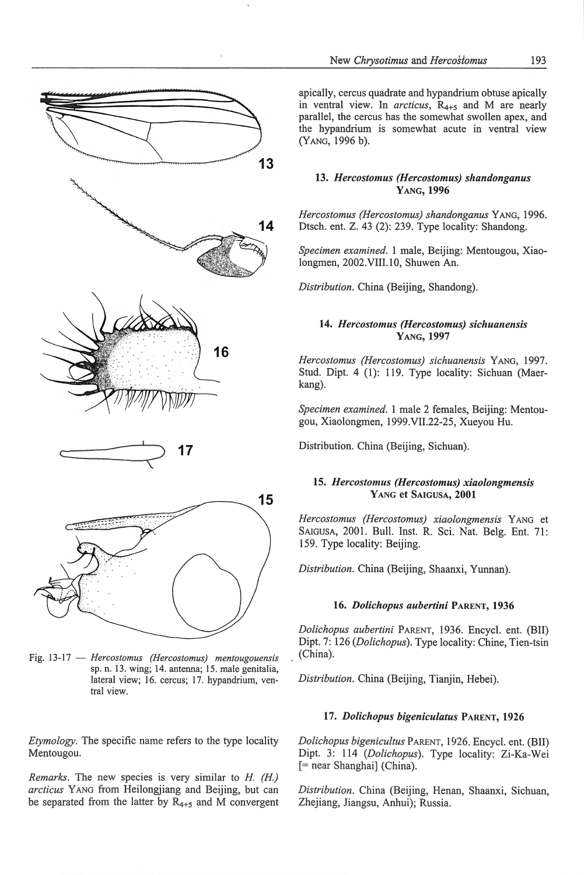![](_page_4_Figure_0.jpeg)

![](_page_4_Figure_1.jpeg)

![](_page_4_Figure_2.jpeg)

Fig. 13-17 - *Hercostomus (Hercostomus) mentougouensis*  sp. n. 13. wing; 14. antenna; 15. male genitalia, lateral view; 16. cercus; 17. hypandrium, ventral view.

*Etymology.* The specific name refers to the type locality Mentougou.

*Remarks.* The new species is very similar to *H. (H.) arcticus* YANG from Heilongjiang and Beijing, but can be separated from the latter by  $R_{4+5}$  and M convergent

apically, cercus quadrate and hypandrium obtuse apically in ventral view. In *arcticus*,  $R_{4+5}$  and M are nearly parallel, the cercus has the somewhat swollen apex, and the hypandrium is somewhat acute in ventral view (YANG, 1996 b).

## 13. *Hercostomus (Hercostomus) shandonganus*  YANG, 1996

*Hercostomus (Hercostomus) shandonganus* YANG, 1996. Dtsch. ent. Z. 43 (2): 239. Type locality: Shandong.

*Specimen examined.* 1 male, Beijing: Mentougou, Xiaolongmen, 2002.VIII.10, Shuwen An.

*Distribution.* China (Beijing, Shandong).

## 14. *Hercostomus (Hercostomus) sichuanensis*  YANG, 1997

*Hercostomus (Hercostomus) sichuanensis* YANG, 1997. Stud. Dipt. 4 (1): 119. Type locality: Sichuan (Maerkang).

*Specimen examined.* 1 male 2 females, Beijing: Mentougou, Xiaolongmen, 1999.VII.22-25, Xueyou Hu.

Distribution. China (Beijing, Sichuan).

## 15. *Hercostomus (Hercostomus) xiaolongmensis*  YANG et SAIGUSA, 2001

*Hercostomus (Hercostomus) xiaolongmensis* YANG et SAIGUSA, 2001. Bull. Inst. R. Sci. Nat. Belg. Ent. 71: 159. Type locality: Beijing.

*Distribution.* China (Beijing, Shaanxi, Yunnan).

## 16. *Dolichopus aubertini* PARENT, 1936

*Dolichopus aubertini* PARENT, 1936. Encycl. ent. (BII) Dipt. 7: 126 *(Dolichopus).* Type locality: Chine, Tien-tsin (China).

*Distribution.* China (Beijing, Tianjin, Hebei).

## 17. *Dolichopus bigeniculatus* PARENT, 1926

*Dolichopus bigenicultus* PARENT, 1926. Encycl. ent. (BII) Dipt. 3: 114 *(Dolichopus).* Type locality: Zi-Ka-Wei [= near Shanghai] (China).

*Distribution.* China (Beijing, Henan, Shaanxi, Sichuan, Zhejiang, Jiangsu, Anhui); Russia.